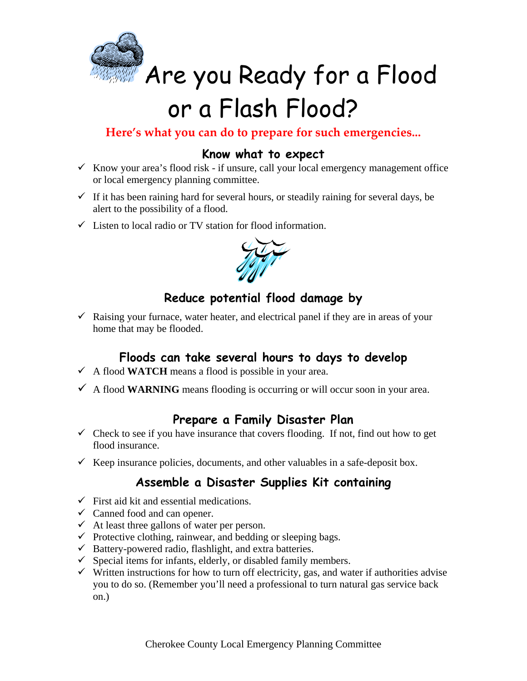

**Are you Ready for a Flood** 

# or a Flash Flood?

**Here's what you can do to prepare for such emergencies...**

#### **Know what to expect**

- $\checkmark$  Know your area's flood risk if unsure, call your local emergency management office or local emergency planning committee.
- $\checkmark$  If it has been raining hard for several hours, or steadily raining for several days, be alert to the possibility of a flood.
- $\checkmark$  Listen to local radio or TV station for flood information.



### **Reduce potential flood damage by**

 $\checkmark$  Raising your furnace, water heater, and electrical panel if they are in areas of your home that may be flooded.

#### **Floods can take several hours to days to develop**

- $\checkmark$  A flood **WATCH** means a flood is possible in your area.
- $\checkmark$  A flood **WARNING** means flooding is occurring or will occur soon in your area.

#### **Prepare a Family Disaster Plan**

- $\checkmark$  Check to see if you have insurance that covers flooding. If not, find out how to get flood insurance.
- $\checkmark$  Keep insurance policies, documents, and other valuables in a safe-deposit box.

#### **Assemble a Disaster Supplies Kit containing**

- $\checkmark$  First aid kit and essential medications.
- $\checkmark$  Canned food and can opener.
- $\checkmark$  At least three gallons of water per person.
- $\checkmark$  Protective clothing, rainwear, and bedding or sleeping bags.
- $\checkmark$  Battery-powered radio, flashlight, and extra batteries.
- $\checkmark$  Special items for infants, elderly, or disabled family members.
- $\checkmark$  Written instructions for how to turn off electricity, gas, and water if authorities advise you to do so. (Remember you'll need a professional to turn natural gas service back on.)